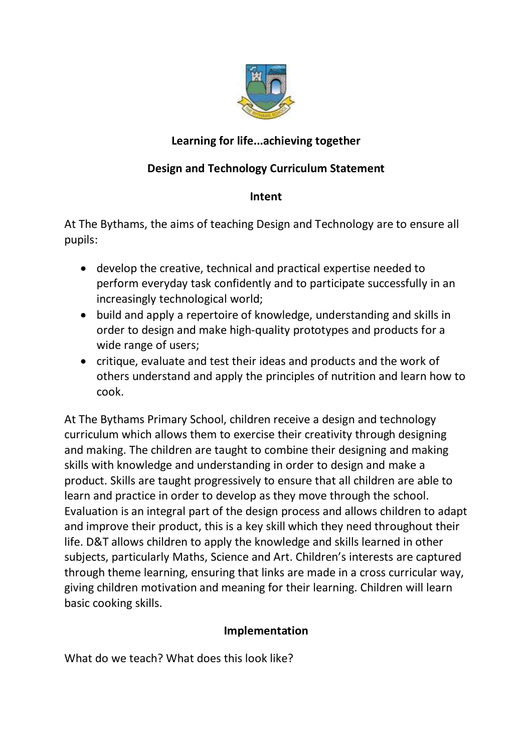

# **Learning for life...achieving together**

## **Design and Technology Curriculum Statement**

#### **Intent**

At The Bythams, the aims of teaching Design and Technology are to ensure all pupils:

- develop the creative, technical and practical expertise needed to perform everyday task confidently and to participate successfully in an increasingly technological world;
- build and apply a repertoire of knowledge, understanding and skills in order to design and make high-quality prototypes and products for a wide range of users;
- critique, evaluate and test their ideas and products and the work of others understand and apply the principles of nutrition and learn how to cook.

At The Bythams Primary School, children receive a design and technology curriculum which allows them to exercise their creativity through designing and making. The children are taught to combine their designing and making skills with knowledge and understanding in order to design and make a product. Skills are taught progressively to ensure that all children are able to learn and practice in order to develop as they move through the school. Evaluation is an integral part of the design process and allows children to adapt and improve their product, this is a key skill which they need throughout their life. D&T allows children to apply the knowledge and skills learned in other subjects, particularly Maths, Science and Art. Children's interests are captured through theme learning, ensuring that links are made in a cross curricular way, giving children motivation and meaning for their learning. Children will learn basic cooking skills.

### **Implementation**

What do we teach? What does this look like?